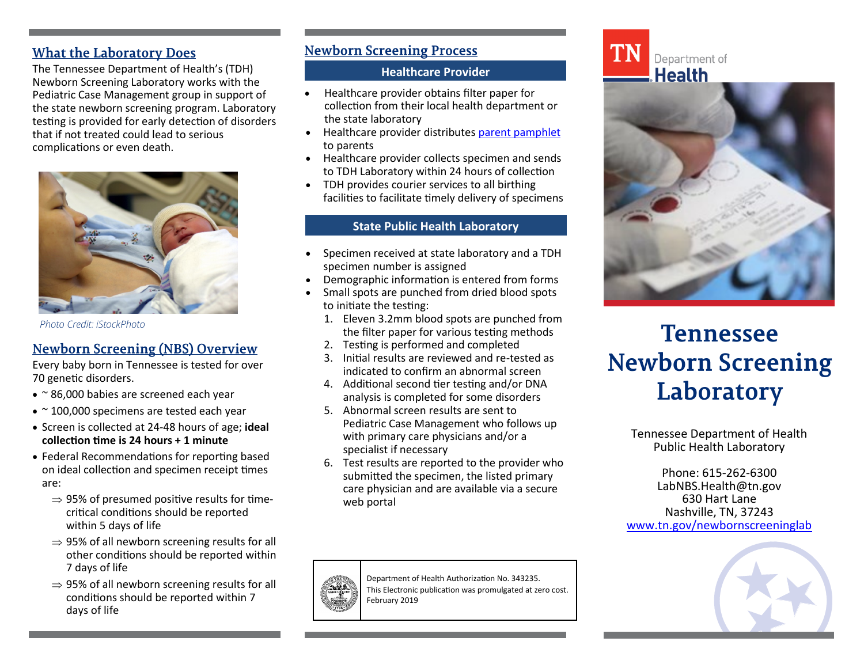# **What the Laboratory Does**

The Tennessee Department of Health's (TDH) Newborn Screening Laboratory works with the Pediatric Case Management group in support of the state newborn screening program. Laboratory testing is provided for early detection of disorders that if not treated could lead to serious complications or even death.



*Photo Credit: iStockPhoto*

# **Newborn Screening (NBS) Overview**

Every baby born in Tennessee is tested for over 70 genetic disorders.

- $\cdot$  ~ 86,000 babies are screened each year
- $\bullet$  ~ 100,000 specimens are tested each year
- Screen is collected at 24-48 hours of age; **ideal collection time is 24 hours + 1 minute**
- Federal Recommendations for reporting based on ideal collection and specimen receipt times are:
	- $\Rightarrow$  95% of presumed positive results for timecritical conditions should be reported within 5 days of life
	- $\Rightarrow$  95% of all newborn screening results for all other conditions should be reported within 7 days of life
	- $\Rightarrow$  95% of all newborn screening results for all conditions should be reported within 7 days of life

# **Newborn Screening Process**

## **Healthcare Provider**

- Healthcare provider obtains filter paper for collection from their local health department or the state laboratory
- Healthcare provider distributes [parent pamphlet](https://www.tn.gov/content/dam/tn/health/program-areas/newborn-screening/343550_NBS_Brochure.pdf) to parents
- Healthcare provider collects specimen and sends to TDH Laboratory within 24 hours of collection
- TDH provides courier services to all birthing facilities to facilitate timely delivery of specimens

#### **State Public Health Laboratory**

- Specimen received at state laboratory and a TDH specimen number is assigned
- Demographic information is entered from forms
- Small spots are punched from dried blood spots to initiate the testing:
	- 1. Eleven 3.2mm blood spots are punched from the filter paper for various testing methods
	- 2. Testing is performed and completed
	- 3. Initial results are reviewed and re-tested as indicated to confirm an abnormal screen
	- 4. Additional second tier testing and/or DNA analysis is completed for some disorders
	- 5. Abnormal screen results are sent to Pediatric Case Management who follows up with primary care physicians and/or a specialist if necessary
	- 6. Test results are reported to the provider who submitted the specimen, the listed primary care physician and are available via a secure web portal



Department of Health Authorization No. 343235. This Electronic publication was promulgated at zero cost. February 2019



# **Tennessee Newborn Screening** Laboratory

Tennessee Department of Health Public Health Laboratory

Phone: 615-262-6300 LabNBS.Health@tn.gov 630 Hart Lane Nashville, TN, 37243 [www.tn.gov/newbornscreeninglab](http://www.tn.gov/newbornscreeninglab)